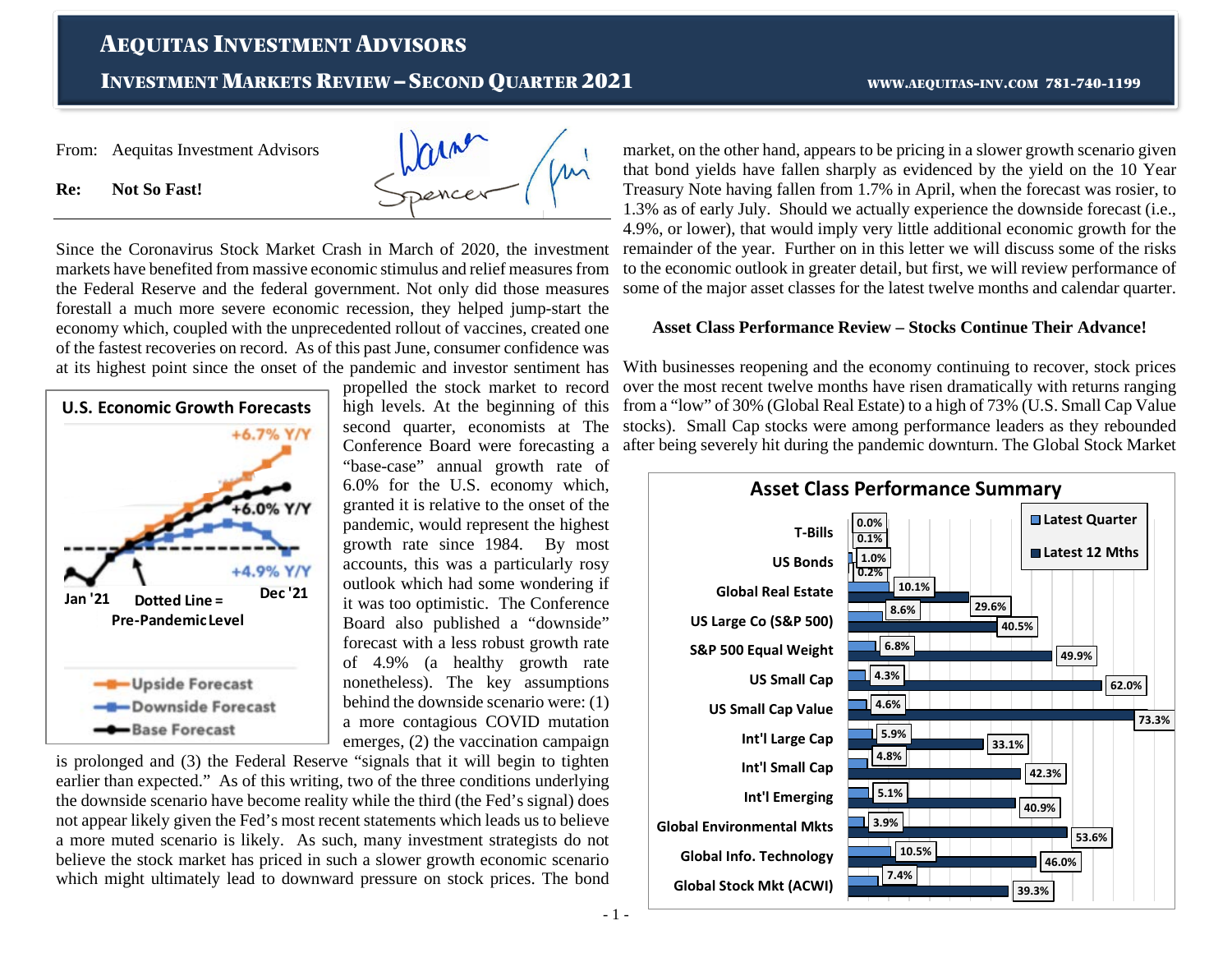# AEQUITAS INVESTMENT ADVISORS

INVESTMENT MARKETS REVIEW – SECOND QUARTER 2021 WWW.AEQUITAS-INV.COM 781-740-1199

From: Aequitas Investment Advisors



**Re: Not So Fast!**

Since the Coronavirus Stock Market Crash in March of 2020, the investment markets have benefited from massive economic stimulus and relief measures from the Federal Reserve and the federal government. Not only did those measures forestall a much more severe economic recession, they helped jump-start the economy which, coupled with the unprecedented rollout of vaccines, created one of the fastest recoveries on record. As of this past June, consumer confidence was at its highest point since the onset of the pandemic and investor sentiment has



propelled the stock market to record high levels. At the beginning of this second quarter, economists at The Conference Board were forecasting a "base-case" annual growth rate of 6.0% for the U.S. economy which, granted it is relative to the onset of the pandemic, would represent the highest growth rate since 1984. By most accounts, this was a particularly rosy outlook which had some wondering if it was too optimistic. The Conference Board also published a "downside" forecast with a less robust growth rate of 4.9% (a healthy growth rate nonetheless). The key assumptions behind the downside scenario were: (1) a more contagious COVID mutation emerges, (2) the vaccination campaign

is prolonged and (3) the Federal Reserve "signals that it will begin to tighten earlier than expected." As of this writing, two of the three conditions underlying the downside scenario have become reality while the third (the Fed's signal) does not appear likely given the Fed's most recent statements which leads us to believe a more muted scenario is likely. As such, many investment strategists do not believe the stock market has priced in such a slower growth economic scenario which might ultimately lead to downward pressure on stock prices. The bond

market, on the other hand, appears to be pricing in a slower growth scenario given that bond yields have fallen sharply as evidenced by the yield on the 10 Year Treasury Note having fallen from 1.7% in April, when the forecast was rosier, to 1.3% as of early July. Should we actually experience the downside forecast (i.e., 4.9%, or lower), that would imply very little additional economic growth for the remainder of the year. Further on in this letter we will discuss some of the risks to the economic outlook in greater detail, but first, we will review performance of some of the major asset classes for the latest twelve months and calendar quarter.

#### **Asset Class Performance Review – Stocks Continue Their Advance!**

With businesses reopening and the economy continuing to recover, stock prices over the most recent twelve months have risen dramatically with returns ranging from a "low" of 30% (Global Real Estate) to a high of 73% (U.S. Small Cap Value stocks). Small Cap stocks were among performance leaders as they rebounded after being severely hit during the pandemic downturn. The Global Stock Market



- 1 -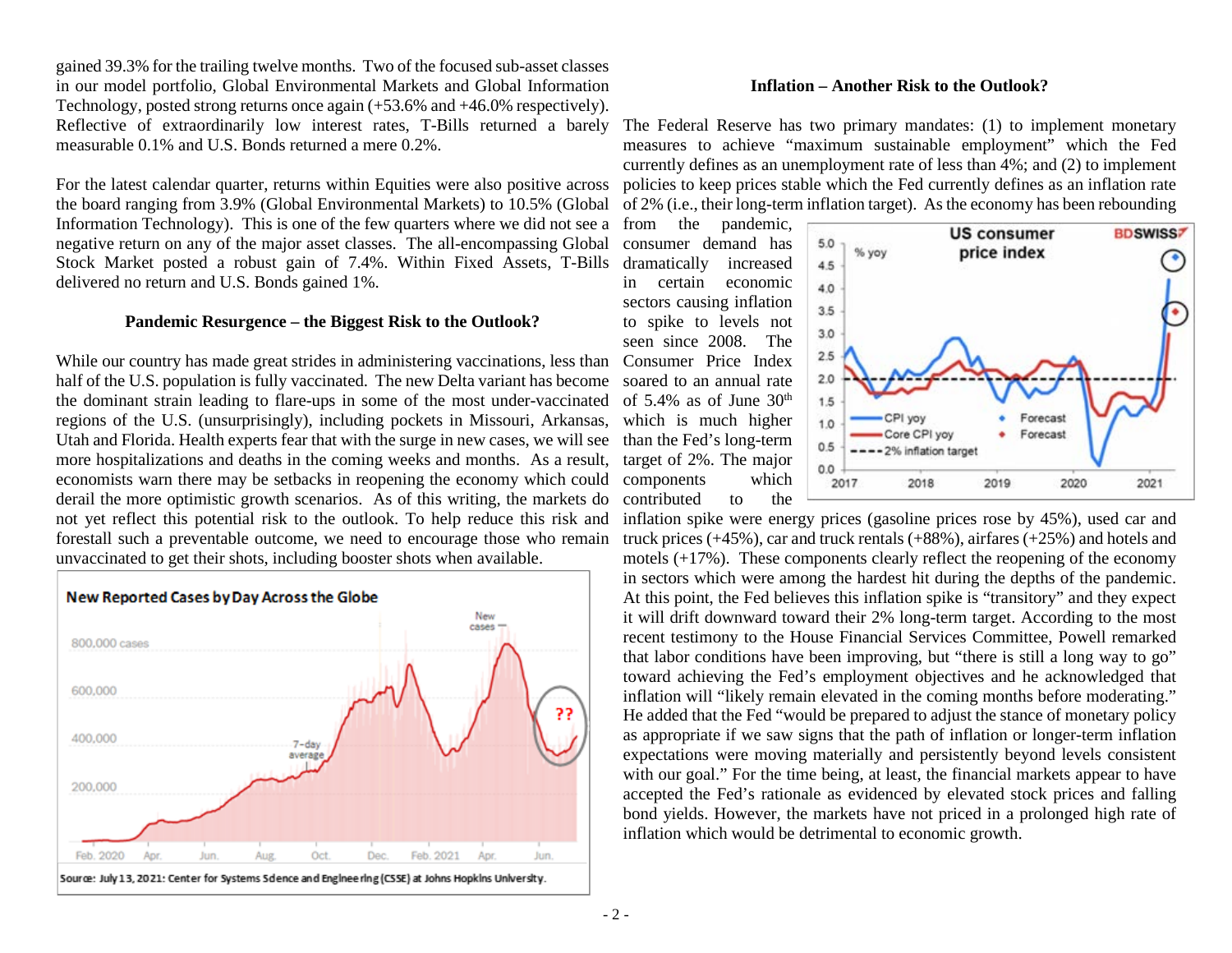gained 39.3% for the trailing twelve months. Two of the focused sub-asset classes in our model portfolio, Global Environmental Markets and Global Information Technology, posted strong returns once again (+53.6% and +46.0% respectively). Reflective of extraordinarily low interest rates, T-Bills returned a barely measurable 0.1% and U.S. Bonds returned a mere 0.2%.

For the latest calendar quarter, returns within Equities were also positive across the board ranging from 3.9% (Global Environmental Markets) to 10.5% (Global Information Technology). This is one of the few quarters where we did not see a from the pandemic, negative return on any of the major asset classes. The all-encompassing Global Stock Market posted a robust gain of 7.4%. Within Fixed Assets, T-Bills delivered no return and U.S. Bonds gained 1%.

#### **Pandemic Resurgence – the Biggest Risk to the Outlook?**

While our country has made great strides in administering vaccinations, less than half of the U.S. population is fully vaccinated. The new Delta variant has become the dominant strain leading to flare-ups in some of the most under-vaccinated regions of the U.S. (unsurprisingly), including pockets in Missouri, Arkansas, Utah and Florida. Health experts fear that with the surge in new cases, we will see more hospitalizations and deaths in the coming weeks and months. As a result, economists warn there may be setbacks in reopening the economy which could derail the more optimistic growth scenarios. As of this writing, the markets do not yet reflect this potential risk to the outlook. To help reduce this risk and forestall such a preventable outcome, we need to encourage those who remain unvaccinated to get their shots, including booster shots when available.



#### **Inflation – Another Risk to the Outlook?**

The Federal Reserve has two primary mandates: (1) to implement monetary measures to achieve "maximum sustainable employment" which the Fed currently defines as an unemployment rate of less than 4%; and (2) to implement policies to keep prices stable which the Fed currently defines as an inflation rate of 2% (i.e., their long-term inflation target). As the economy has been rebounding

consumer demand has dramatically increased in certain economic sectors causing inflation to spike to levels not seen since 2008. The Consumer Price Index soared to an annual rate of 5.4% as of June  $30<sup>th</sup>$ which is much higher than the Fed's long-term target of 2%. The major components which contributed to the



inflation spike were energy prices (gasoline prices rose by 45%), used car and truck prices  $(+45%)$ , car and truck rentals  $(+88%)$ , airfares  $(+25%)$  and hotels and motels (+17%). These components clearly reflect the reopening of the economy in sectors which were among the hardest hit during the depths of the pandemic. At this point, the Fed believes this inflation spike is "transitory" and they expect it will drift downward toward their 2% long-term target. According to the most recent testimony to the House Financial Services Committee, Powell remarked that labor conditions have been improving, but "there is still a long way to go" toward achieving the Fed's employment objectives and he acknowledged that inflation will "likely remain elevated in the coming months before moderating." He added that the Fed "would be prepared to adjust the stance of monetary policy as appropriate if we saw signs that the path of inflation or longer-term inflation expectations were moving materially and persistently beyond levels consistent with our goal." For the time being, at least, the financial markets appear to have accepted the Fed's rationale as evidenced by elevated stock prices and falling bond yields. However, the markets have not priced in a prolonged high rate of inflation which would be detrimental to economic growth.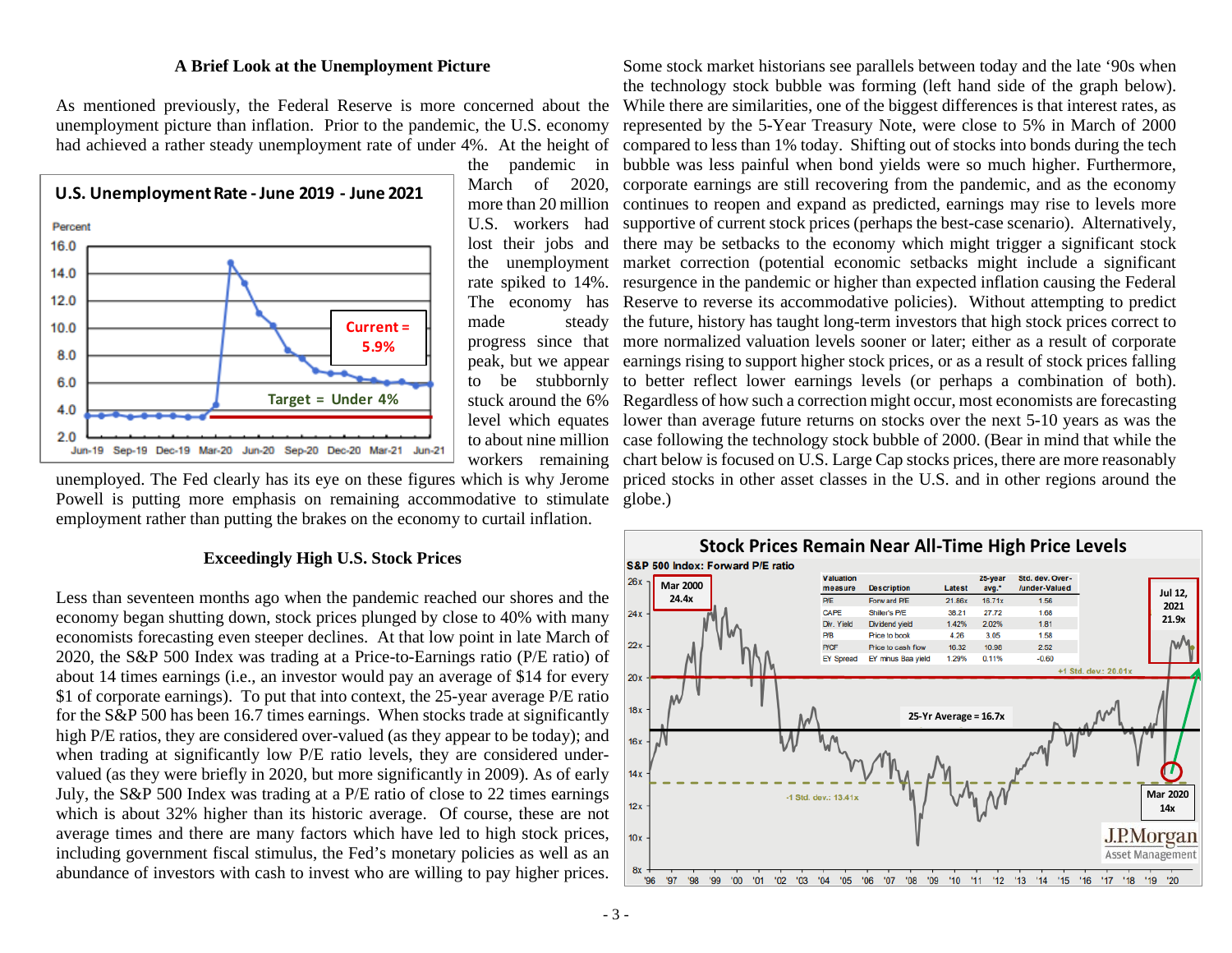#### **A Brief Look at the Unemployment Picture**

As mentioned previously, the Federal Reserve is more concerned about the unemployment picture than inflation. Prior to the pandemic, the U.S. economy

![](_page_2_Figure_2.jpeg)

made steady peak, but we appear to be stubbornly stuck around the 6%

Powell is putting more emphasis on remaining accommodative to stimulate globe.) employment rather than putting the brakes on the economy to curtail inflation.

#### **Exceedingly High U.S. Stock Prices**

Less than seventeen months ago when the pandemic reached our shores and the economy began shutting down, stock prices plunged by close to 40% with many economists forecasting even steeper declines. At that low point in late March of 2020, the S&P 500 Index was trading at a Price-to-Earnings ratio (P/E ratio) of about 14 times earnings (i.e., an investor would pay an average of \$14 for every \$1 of corporate earnings). To put that into context, the 25-year average P/E ratio for the S&P 500 has been 16.7 times earnings. When stocks trade at significantly high P/E ratios, they are considered over-valued (as they appear to be today); and when trading at significantly low P/E ratio levels, they are considered undervalued (as they were briefly in 2020, but more significantly in 2009). As of early July, the S&P 500 Index was trading at a P/E ratio of close to 22 times earnings which is about 32% higher than its historic average. Of course, these are not average times and there are many factors which have led to high stock prices, including government fiscal stimulus, the Fed's monetary policies as well as an abundance of investors with cash to invest who are willing to pay higher prices.

had achieved a rather steady unemployment rate of under 4%. At the height of compared to less than 1% today. Shifting out of stocks into bonds during the tech the pandemic in bubble was less painful when bond yields were so much higher. Furthermore, March of 2020, corporate earnings are still recovering from the pandemic, and as the economy more than 20 million continues to reopen and expand as predicted, earnings may rise to levels more U.S. workers had supportive of current stock prices (perhaps the best-case scenario). Alternatively, lost their jobs and there may be setbacks to the economy which might trigger a significant stock the unemployment market correction (potential economic setbacks might include a significant rate spiked to 14%. resurgence in the pandemic or higher than expected inflation causing the Federal The economy has Reserve to reverse its accommodative policies). Without attempting to predict progress since that more normalized valuation levels sooner or later; either as a result of corporate level which equates lower than average future returns on stocks over the next 5-10 years as was the to about nine million case following the technology stock bubble of 2000. (Bear in mind that while the workers remaining chart below is focused on U.S. Large Cap stocks prices, there are more reasonably unemployed. The Fed clearly has its eye on these figures which is why Jerome priced stocks in other asset classes in the U.S. and in other regions around the Some stock market historians see parallels between today and the late '90s when the technology stock bubble was forming (left hand side of the graph below). While there are similarities, one of the biggest differences is that interest rates, as represented by the 5-Year Treasury Note, were close to 5% in March of 2000 the future, history has taught long-term investors that high stock prices correct to earnings rising to support higher stock prices, or as a result of stock prices falling to better reflect lower earnings levels (or perhaps a combination of both). Regardless of how such a correction might occur, most economists are forecasting

![](_page_2_Figure_8.jpeg)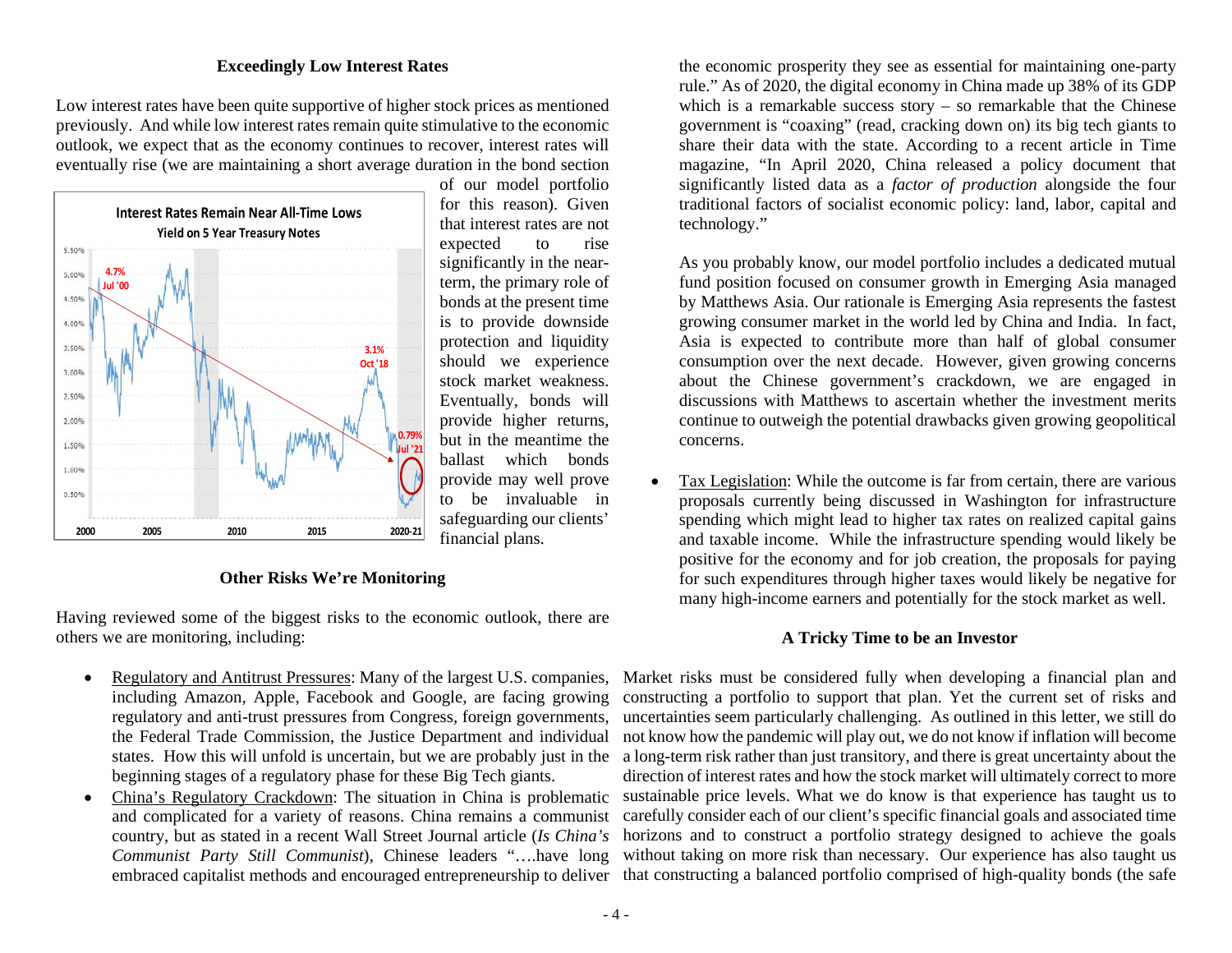## **Exceedingly Low Interest Rates**

Low interest rates have been quite supportive of higher stock prices as mentioned previously. And while low interest rates remain quite stimulative to the economic outlook, we expect that as the economy continues to recover, interest rates will eventually rise (we are maintaining a short average duration in the bond section

![](_page_3_Figure_2.jpeg)

of our model portfolio for this reason). Given that interest rates are not expected to rise significantly in the nearterm, the primary role of bonds at the present time is to provide downside protection and liquidity should we experience stock market weakness. Eventually, bonds will provide higher returns, but in the meantime the ballast which bonds provide may well prove to be invaluable in safeguarding our clients' financial plans.

#### **Other Risks We're Monitoring**

Having reviewed some of the biggest risks to the economic outlook, there are others we are monitoring, including:

- Regulatory and Antitrust Pressures: Many of the largest U.S. companies, including Amazon, Apple, Facebook and Google, are facing growing regulatory and anti-trust pressures from Congress, foreign governments, the Federal Trade Commission, the Justice Department and individual states. How this will unfold is uncertain, but we are probably just in the beginning stages of a regulatory phase for these Big Tech giants.
- China's Regulatory Crackdown: The situation in China is problematic and complicated for a variety of reasons. China remains a communist country, but as stated in a recent Wall Street Journal article (*Is China's Communist Party Still Communist*), Chinese leaders "….have long

the economic prosperity they see as essential for maintaining one-party rule." As of 2020, the digital economy in China made up 38% of its GDP which is a remarkable success story – so remarkable that the Chinese government is "coaxing" (read, cracking down on) its big tech giants to share their data with the state. According to a recent article in Time magazine, "In April 2020, China released a policy document that significantly listed data as a *factor of production* alongside the four traditional factors of socialist economic policy: land, labor, capital and technology."

As you probably know, our model portfolio includes a dedicated mutual fund position focused on consumer growth in Emerging Asia managed by Matthews Asia. Our rationale is Emerging Asia represents the fastest growing consumer market in the world led by China and India. In fact, Asia is expected to contribute more than half of global consumer consumption over the next decade. However, given growing concerns about the Chinese government's crackdown, we are engaged in discussions with Matthews to ascertain whether the investment merits continue to outweigh the potential drawbacks given growing geopolitical concerns.

• Tax Legislation: While the outcome is far from certain, there are various proposals currently being discussed in Washington for infrastructure spending which might lead to higher tax rates on realized capital gains and taxable income. While the infrastructure spending would likely be positive for the economy and for job creation, the proposals for paying for such expenditures through higher taxes would likely be negative for many high-income earners and potentially for the stock market as well.

## **A Tricky Time to be an Investor**

embraced capitalist methods and encouraged entrepreneurship to deliver that constructing a balanced portfolio comprised of high-quality bonds (the safe Market risks must be considered fully when developing a financial plan and constructing a portfolio to support that plan. Yet the current set of risks and uncertainties seem particularly challenging. As outlined in this letter, we still do not know how the pandemic will play out, we do not know if inflation will become a long-term risk rather than just transitory, and there is great uncertainty about the direction of interest rates and how the stock market will ultimately correct to more sustainable price levels. What we do know is that experience has taught us to carefully consider each of our client's specific financial goals and associated time horizons and to construct a portfolio strategy designed to achieve the goals without taking on more risk than necessary. Our experience has also taught us